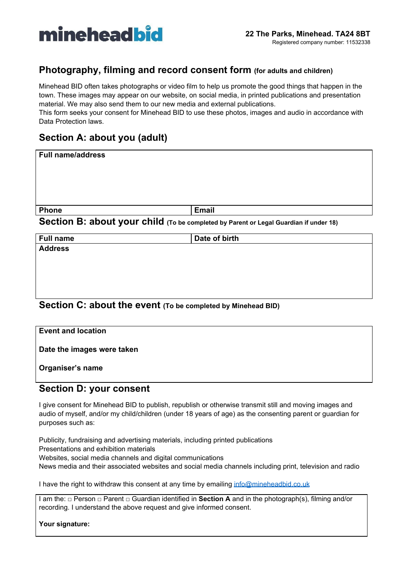

## **Photography, filming and record consent form (for adults and children)**

Minehead BID often takes photographs or video film to help us promote the good things that happen in the town. These images may appear on our website, on social media, in printed publications and presentation material. We may also send them to our new media and external publications.

This form seeks your consent for Minehead BID to use these photos, images and audio in accordance with Data Protection laws.

## **Section A: about you (adult)**

| Full name/address                                                                            |              |
|----------------------------------------------------------------------------------------------|--------------|
|                                                                                              |              |
| <b>Phone</b>                                                                                 | <b>Email</b> |
| <b>Section B: about your child</b> (To be completed by Parent or Legal Guardian if under 18) |              |

**Section B: about your child (To be completed by Parent or Legal Guardian if under 18)**

| <b>Full name</b>                                             | Date of birth |  |
|--------------------------------------------------------------|---------------|--|
| <b>Address</b>                                               |               |  |
|                                                              |               |  |
|                                                              |               |  |
|                                                              |               |  |
|                                                              |               |  |
|                                                              |               |  |
| Section C: about the event (To be completed by Minehead BID) |               |  |

| <b>Event and location</b>  |  |
|----------------------------|--|
| Date the images were taken |  |
| Organiser's name           |  |
|                            |  |

## **Section D: your consent**

I give consent for Minehead BID to publish, republish or otherwise transmit still and moving images and audio of myself, and/or my child/children (under 18 years of age) as the consenting parent or guardian for purposes such as:

Publicity, fundraising and advertising materials, including printed publications Presentations and exhibition materials Websites, social media channels and digital communications News media and their associated websites and social media channels including print, television and radio

I have the right to withdraw this consent at any time by emailing [info@mineheadbid.co.uk](mailto:info@mineheadbid.co.uk)

I am the: □ Person □ Parent □ Guardian identified in **Section A** and in the photograph(s), filming and/or recording. I understand the above request and give informed consent.

**Your signature:**